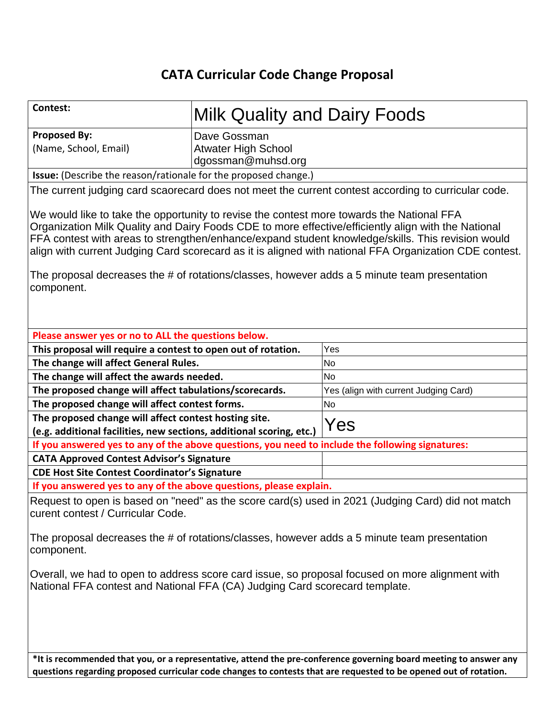# **CATA Curricular Code Change Proposal**

| Contest:                                                                                                                                                                                                                                                                                                                                                                                                        | <b>Milk Quality and Dairy Foods</b>                              |                                                                                                                   |  |  |
|-----------------------------------------------------------------------------------------------------------------------------------------------------------------------------------------------------------------------------------------------------------------------------------------------------------------------------------------------------------------------------------------------------------------|------------------------------------------------------------------|-------------------------------------------------------------------------------------------------------------------|--|--|
| <b>Proposed By:</b><br>(Name, School, Email)                                                                                                                                                                                                                                                                                                                                                                    | Dave Gossman<br><b>Atwater High School</b><br>dgossman@muhsd.org |                                                                                                                   |  |  |
| <b>Issue:</b> (Describe the reason/rationale for the proposed change.)                                                                                                                                                                                                                                                                                                                                          |                                                                  |                                                                                                                   |  |  |
|                                                                                                                                                                                                                                                                                                                                                                                                                 |                                                                  | The current judging card scaorecard does not meet the current contest according to curricular code.               |  |  |
| We would like to take the opportunity to revise the contest more towards the National FFA<br>Organization Milk Quality and Dairy Foods CDE to more effective/efficiently align with the National<br>FFA contest with areas to strengthen/enhance/expand student knowledge/skills. This revision would<br>align with current Judging Card scorecard as it is aligned with national FFA Organization CDE contest. |                                                                  |                                                                                                                   |  |  |
| component.                                                                                                                                                                                                                                                                                                                                                                                                      |                                                                  | The proposal decreases the # of rotations/classes, however adds a 5 minute team presentation                      |  |  |
| Please answer yes or no to ALL the questions below.                                                                                                                                                                                                                                                                                                                                                             |                                                                  |                                                                                                                   |  |  |
| This proposal will require a contest to open out of rotation.                                                                                                                                                                                                                                                                                                                                                   |                                                                  | Yes                                                                                                               |  |  |
|                                                                                                                                                                                                                                                                                                                                                                                                                 |                                                                  | <b>No</b>                                                                                                         |  |  |
| The change will affect General Rules.                                                                                                                                                                                                                                                                                                                                                                           |                                                                  |                                                                                                                   |  |  |
| The change will affect the awards needed.                                                                                                                                                                                                                                                                                                                                                                       |                                                                  | No<br>Yes (align with current Judging Card)                                                                       |  |  |
| The proposed change will affect tabulations/scorecards.                                                                                                                                                                                                                                                                                                                                                         |                                                                  | <b>No</b>                                                                                                         |  |  |
| The proposed change will affect contest forms.                                                                                                                                                                                                                                                                                                                                                                  |                                                                  |                                                                                                                   |  |  |
| The proposed change will affect contest hosting site.<br>Yes<br>(e.g. additional facilities, new sections, additional scoring, etc.)                                                                                                                                                                                                                                                                            |                                                                  |                                                                                                                   |  |  |
| If you answered yes to any of the above questions, you need to include the following signatures:                                                                                                                                                                                                                                                                                                                |                                                                  |                                                                                                                   |  |  |
| <b>CATA Approved Contest Advisor's Signature</b>                                                                                                                                                                                                                                                                                                                                                                |                                                                  |                                                                                                                   |  |  |
| <b>CDE Host Site Contest Coordinator's Signature</b>                                                                                                                                                                                                                                                                                                                                                            |                                                                  |                                                                                                                   |  |  |
| If you answered yes to any of the above questions, please explain.                                                                                                                                                                                                                                                                                                                                              |                                                                  |                                                                                                                   |  |  |
|                                                                                                                                                                                                                                                                                                                                                                                                                 |                                                                  |                                                                                                                   |  |  |
| Request to open is based on "need" as the score card(s) used in 2021 (Judging Card) did not match<br>curent contest / Curricular Code.                                                                                                                                                                                                                                                                          |                                                                  |                                                                                                                   |  |  |
| The proposal decreases the # of rotations/classes, however adds a 5 minute team presentation<br>component.                                                                                                                                                                                                                                                                                                      |                                                                  |                                                                                                                   |  |  |
| Overall, we had to open to address score card issue, so proposal focused on more alignment with<br>National FFA contest and National FFA (CA) Judging Card scorecard template.                                                                                                                                                                                                                                  |                                                                  |                                                                                                                   |  |  |
|                                                                                                                                                                                                                                                                                                                                                                                                                 |                                                                  | *It is recommended that you, or a representative, attend the pre-conference governing board meeting to answer any |  |  |
|                                                                                                                                                                                                                                                                                                                                                                                                                 |                                                                  | questions regarding proposed curricular code changes to contests that are requested to be opened out of rotation. |  |  |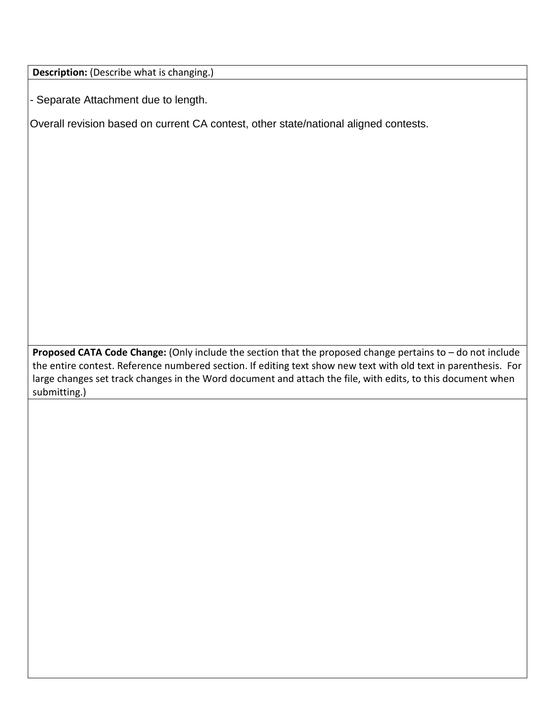**Description:** (Describe what is changing.)

- Separate Attachment due to length.

Overall revision based on current CA contest, other state/national aligned contests.

**Proposed CATA Code Change:** (Only include the section that the proposed change pertains to – do not include the entire contest. Reference numbered section. If editing text show new text with old text in parenthesis. For large changes set track changes in the Word document and attach the file, with edits, to this document when submitting.)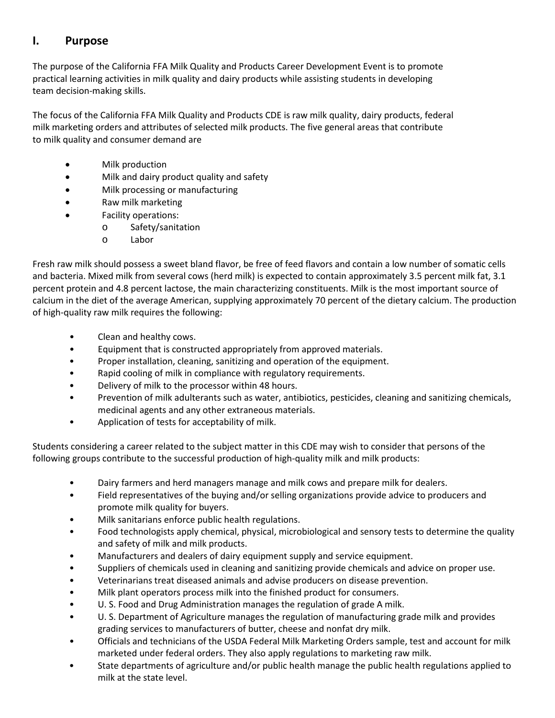# **I. Purpose**

The purpose of the California FFA Milk Quality and Products Career Development Event is to promote practical learning activities in milk quality and dairy products while assisting students in developing team decision-making skills.

The focus of the California FFA Milk Quality and Products CDE is raw milk quality, dairy products, federal milk marketing orders and attributes of selected milk products. The five general areas that contribute to milk quality and consumer demand are

- Milk production
- Milk and dairy product quality and safety
- Milk processing or manufacturing
- Raw milk marketing
- Facility operations:
	- o Safety/sanitation
	- o Labor

Fresh raw milk should possess a sweet bland flavor, be free of feed flavors and contain a low number of somatic cells and bacteria. Mixed milk from several cows (herd milk) is expected to contain approximately 3.5 percent milk fat, 3.1 percent protein and 4.8 percent lactose, the main characterizing constituents. Milk is the most important source of calcium in the diet of the average American, supplying approximately 70 percent of the dietary calcium. The production of high-quality raw milk requires the following:

- Clean and healthy cows.
- Equipment that is constructed appropriately from approved materials.
- Proper installation, cleaning, sanitizing and operation of the equipment.
- Rapid cooling of milk in compliance with regulatory requirements.
- Delivery of milk to the processor within 48 hours.
- Prevention of milk adulterants such as water, antibiotics, pesticides, cleaning and sanitizing chemicals, medicinal agents and any other extraneous materials.
- Application of tests for acceptability of milk.

Students considering a career related to the subject matter in this CDE may wish to consider that persons of the following groups contribute to the successful production of high-quality milk and milk products:

- Dairy farmers and herd managers manage and milk cows and prepare milk for dealers.
- Field representatives of the buying and/or selling organizations provide advice to producers and promote milk quality for buyers.
- Milk sanitarians enforce public health regulations.
- Food technologists apply chemical, physical, microbiological and sensory tests to determine the quality and safety of milk and milk products.
- Manufacturers and dealers of dairy equipment supply and service equipment.
- Suppliers of chemicals used in cleaning and sanitizing provide chemicals and advice on proper use.
- Veterinarians treat diseased animals and advise producers on disease prevention.
- Milk plant operators process milk into the finished product for consumers.
- U. S. Food and Drug Administration manages the regulation of grade A milk.
- U. S. Department of Agriculture manages the regulation of manufacturing grade milk and provides grading services to manufacturers of butter, cheese and nonfat dry milk.
- Officials and technicians of the USDA Federal Milk Marketing Orders sample, test and account for milk marketed under federal orders. They also apply regulations to marketing raw milk.
- State departments of agriculture and/or public health manage the public health regulations applied to milk at the state level.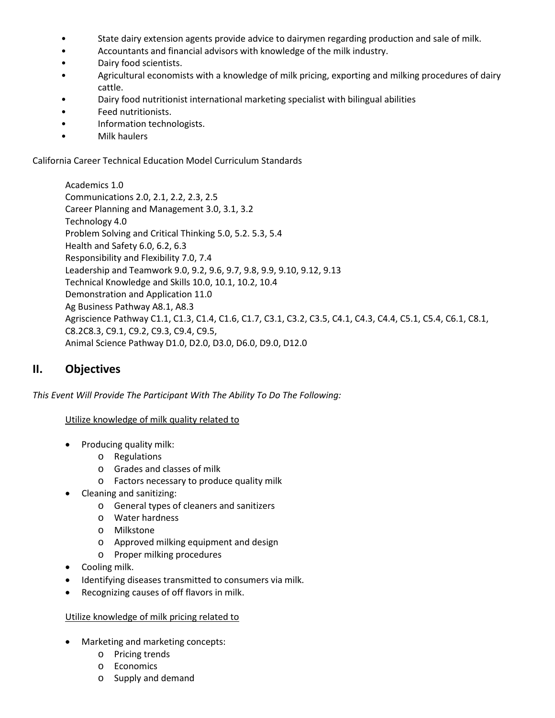- State dairy extension agents provide advice to dairymen regarding production and sale of milk.
- Accountants and financial advisors with knowledge of the milk industry.
- Dairy food scientists.
- Agricultural economists with a knowledge of milk pricing, exporting and milking procedures of dairy cattle.
- Dairy food nutritionist international marketing specialist with bilingual abilities
- Feed nutritionists.
- Information technologists.
- Milk haulers

California Career Technical Education Model Curriculum Standards

Academics 1.0 Communications 2.0, 2.1, 2.2, 2.3, 2.5 Career Planning and Management 3.0, 3.1, 3.2 Technology 4.0 Problem Solving and Critical Thinking 5.0, 5.2. 5.3, 5.4 Health and Safety 6.0, 6.2, 6.3 Responsibility and Flexibility 7.0, 7.4 Leadership and Teamwork 9.0, 9.2, 9.6, 9.7, 9.8, 9.9, 9.10, 9.12, 9.13 Technical Knowledge and Skills 10.0, 10.1, 10.2, 10.4 Demonstration and Application 11.0 Ag Business Pathway A8.1, A8.3 Agriscience Pathway C1.1, C1.3, C1.4, C1.6, C1.7, C3.1, C3.2, C3.5, C4.1, C4.3, C4.4, C5.1, C5.4, C6.1, C8.1, C8.2C8.3, C9.1, C9.2, C9.3, C9.4, C9.5, Animal Science Pathway D1.0, D2.0, D3.0, D6.0, D9.0, D12.0

# **II. Objectives**

*This Event Will Provide The Participant With The Ability To Do The Following:*

Utilize knowledge of milk quality related to

- Producing quality milk:
	- o Regulations
	- o Grades and classes of milk
	- o Factors necessary to produce quality milk
- Cleaning and sanitizing:
	- o General types of cleaners and sanitizers
	- o Water hardness
	- o Milkstone
	- o Approved milking equipment and design
	- o Proper milking procedures
- Cooling milk.
- Identifying diseases transmitted to consumers via milk.
- Recognizing causes of off flavors in milk.

#### Utilize knowledge of milk pricing related to

- Marketing and marketing concepts:
	- o Pricing trends
	- o Economics
	- o Supply and demand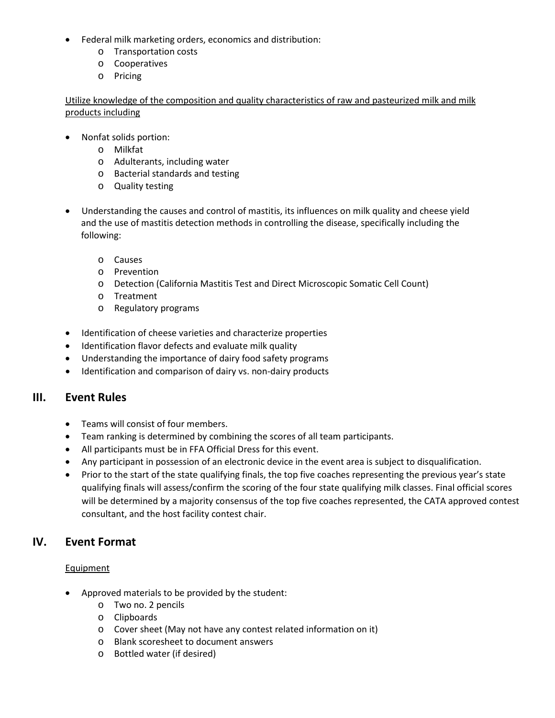- Federal milk marketing orders, economics and distribution:
	- o Transportation costs
	- o Cooperatives
	- o Pricing

Utilize knowledge of the composition and quality characteristics of raw and pasteurized milk and milk products including

- Nonfat solids portion:
	- o Milkfat
	- o Adulterants, including water
	- o Bacterial standards and testing
	- o Quality testing
- Understanding the causes and control of mastitis, its influences on milk quality and cheese yield and the use of mastitis detection methods in controlling the disease, specifically including the following:
	- o Causes
	- o Prevention
	- o Detection (California Mastitis Test and Direct Microscopic Somatic Cell Count)
	- o Treatment
	- o Regulatory programs
- Identification of cheese varieties and characterize properties
- Identification flavor defects and evaluate milk quality
- Understanding the importance of dairy food safety programs
- Identification and comparison of dairy vs. non-dairy products

# **III. Event Rules**

- Teams will consist of four members.
- Team ranking is determined by combining the scores of all team participants.
- All participants must be in FFA Official Dress for this event.
- Any participant in possession of an electronic device in the event area is subject to disqualification.
- Prior to the start of the state qualifying finals, the top five coaches representing the previous year's state qualifying finals will assess/confirm the scoring of the four state qualifying milk classes. Final official scores will be determined by a majority consensus of the top five coaches represented, the CATA approved contest consultant, and the host facility contest chair.

# **IV. Event Format**

## **Equipment**

- Approved materials to be provided by the student:
	- o Two no. 2 pencils
	- o Clipboards
	- o Cover sheet (May not have any contest related information on it)
	- o Blank scoresheet to document answers
	- o Bottled water (if desired)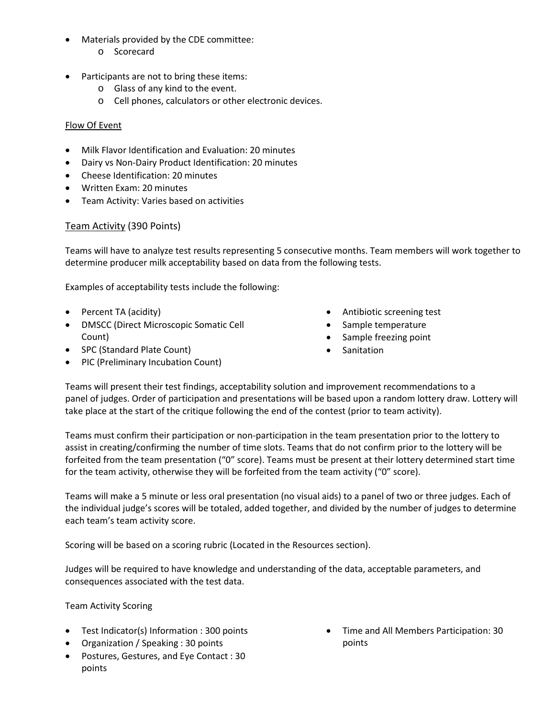- Materials provided by the CDE committee:
	- o Scorecard
- Participants are not to bring these items:
	- o Glass of any kind to the event.
	- o Cell phones, calculators or other electronic devices.

### Flow Of Event

- Milk Flavor Identification and Evaluation: 20 minutes
- Dairy vs Non-Dairy Product Identification: 20 minutes
- Cheese Identification: 20 minutes
- Written Exam: 20 minutes
- Team Activity: Varies based on activities

## Team Activity (390 Points)

Teams will have to analyze test results representing 5 consecutive months. Team members will work together to determine producer milk acceptability based on data from the following tests.

Examples of acceptability tests include the following:

- Percent TA (acidity)
- DMSCC (Direct Microscopic Somatic Cell Count)
- SPC (Standard Plate Count)
- PIC (Preliminary Incubation Count)
- Antibiotic screening test
- Sample temperature
- Sample freezing point
- **Sanitation**

Teams will present their test findings, acceptability solution and improvement recommendations to a panel of judges. Order of participation and presentations will be based upon a random lottery draw. Lottery will take place at the start of the critique following the end of the contest (prior to team activity).

Teams must confirm their participation or non-participation in the team presentation prior to the lottery to assist in creating/confirming the number of time slots. Teams that do not confirm prior to the lottery will be forfeited from the team presentation ("0" score). Teams must be present at their lottery determined start time for the team activity, otherwise they will be forfeited from the team activity ("0" score).

Teams will make a 5 minute or less oral presentation (no visual aids) to a panel of two or three judges. Each of the individual judge's scores will be totaled, added together, and divided by the number of judges to determine each team's team activity score.

Scoring will be based on a scoring rubric (Located in the Resources section).

Judges will be required to have knowledge and understanding of the data, acceptable parameters, and consequences associated with the test data.

Team Activity Scoring

- Test Indicator(s) Information : 300 points
- Organization / Speaking : 30 points
- Postures, Gestures, and Eye Contact : 30 points

• Time and All Members Participation: 30 points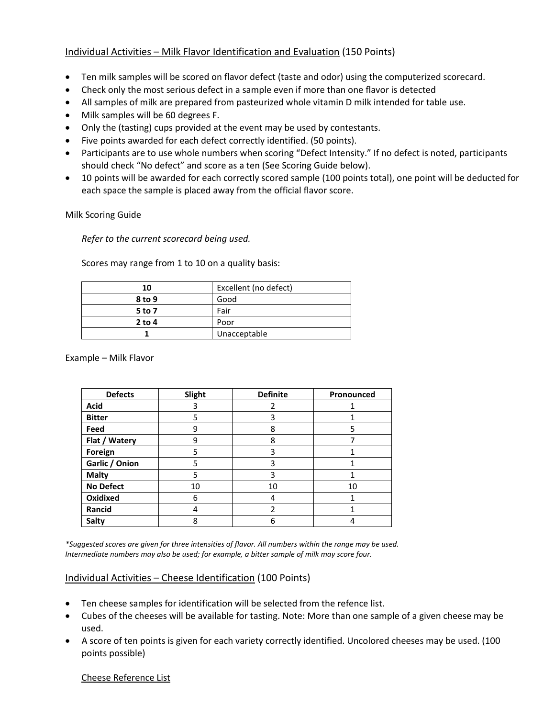## Individual Activities – Milk Flavor Identification and Evaluation (150 Points)

- Ten milk samples will be scored on flavor defect (taste and odor) using the computerized scorecard.
- Check only the most serious defect in a sample even if more than one flavor is detected
- All samples of milk are prepared from pasteurized whole vitamin D milk intended for table use.
- Milk samples will be 60 degrees F.
- Only the (tasting) cups provided at the event may be used by contestants.
- Five points awarded for each defect correctly identified. (50 points).
- Participants are to use whole numbers when scoring "Defect Intensity." If no defect is noted, participants should check "No defect" and score as a ten (See Scoring Guide below).
- 10 points will be awarded for each correctly scored sample (100 points total), one point will be deducted for each space the sample is placed away from the official flavor score.

Milk Scoring Guide

*Refer to the current scorecard being used.*

Scores may range from 1 to 10 on a quality basis:

| 10       | Excellent (no defect) |
|----------|-----------------------|
| 8 to 9   | Good                  |
| 5 to 7   | Fair                  |
| $2$ to 4 | Poor                  |
|          | Unacceptable          |

Example – Milk Flavor

| <b>Defects</b>   | Slight | <b>Definite</b> | Pronounced |
|------------------|--------|-----------------|------------|
| <b>Acid</b>      | 3      | 2               |            |
| <b>Bitter</b>    | 5      | 3               |            |
| Feed             | 9      | 8               | 5          |
| Flat / Watery    | 9      | 8               |            |
| Foreign          | 5      | 3               |            |
| Garlic / Onion   | 5      | 3               |            |
| <b>Malty</b>     | 5      | 3               |            |
| <b>No Defect</b> | 10     | 10              | 10         |
| Oxidixed         | 6      | 4               |            |
| Rancid           |        | 2               |            |
| <b>Salty</b>     | 8      | 6               |            |

*\*Suggested scores are given for three intensities of flavor. All numbers within the range may be used. Intermediate numbers may also be used; for example, a bitter sample of milk may score four.*

## Individual Activities – Cheese Identification (100 Points)

- Ten cheese samples for identification will be selected from the refence list.
- Cubes of the cheeses will be available for tasting. Note: More than one sample of a given cheese may be used.
- A score of ten points is given for each variety correctly identified. Uncolored cheeses may be used. (100 points possible)

#### Cheese Reference List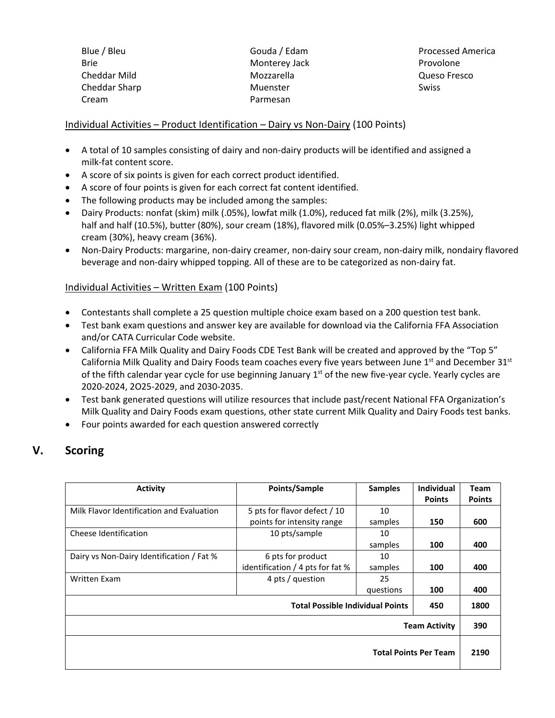Blue / Bleu Brie Cheddar Mild Cheddar Sharp Cream

Gouda / Edam Monterey Jack Mozzarella Muenster Parmesan

Processed America Provolone Queso Fresco Swiss

## Individual Activities – Product Identification – Dairy vs Non-Dairy (100 Points)

- A total of 10 samples consisting of dairy and non-dairy products will be identified and assigned a milk-fat content score.
- A score of six points is given for each correct product identified.
- A score of four points is given for each correct fat content identified.
- The following products may be included among the samples:
- Dairy Products: nonfat (skim) milk (.05%), lowfat milk (1.0%), reduced fat milk (2%), milk (3.25%), half and half (10.5%), butter (80%), sour cream (18%), flavored milk (0.05%–3.25%) light whipped cream (30%), heavy cream (36%).
- Non-Dairy Products: margarine, non-dairy creamer, non-dairy sour cream, non-dairy milk, nondairy flavored beverage and non-dairy whipped topping. All of these are to be categorized as non-dairy fat.

## Individual Activities – Written Exam (100 Points)

- Contestants shall complete a 25 question multiple choice exam based on a 200 question test bank.
- Test bank exam questions and answer key are available for download via the California FFA Association and/or CATA Curricular Code website.
- California FFA Milk Quality and Dairy Foods CDE Test Bank will be created and approved by the "Top 5" California Milk Quality and Dairy Foods team coaches every five years between June  $1<sup>st</sup>$  and December  $31<sup>st</sup>$ of the fifth calendar year cycle for use beginning January  $1<sup>st</sup>$  of the new five-year cycle. Yearly cycles are 2020-2024, 2O25-2029, and 2030-2035.
- Test bank generated questions will utilize resources that include past/recent National FFA Organization's Milk Quality and Dairy Foods exam questions, other state current Milk Quality and Dairy Foods test banks.
- Four points awarded for each question answered correctly

# **V. Scoring**

| <b>Activity</b>                           | Points/Sample                           | <b>Samples</b> | <b>Individual</b>            | Team          |
|-------------------------------------------|-----------------------------------------|----------------|------------------------------|---------------|
|                                           |                                         |                | <b>Points</b>                | <b>Points</b> |
| Milk Flavor Identification and Evaluation | 5 pts for flavor defect / 10            | 10             |                              |               |
|                                           | points for intensity range              | samples        | 150                          | 600           |
| Cheese Identification                     | 10 pts/sample                           | 10             |                              |               |
|                                           |                                         | samples        | 100                          | 400           |
| Dairy vs Non-Dairy Identification / Fat % | 6 pts for product                       | 10             |                              |               |
|                                           | identification / 4 pts for fat %        | samples        | 100                          | 400           |
| <b>Written Exam</b>                       | 4 pts / question                        | 25             |                              |               |
|                                           |                                         | questions      | 100                          | 400           |
|                                           | <b>Total Possible Individual Points</b> |                | 450                          | 1800          |
|                                           |                                         |                | <b>Team Activity</b>         | 390           |
|                                           |                                         |                | <b>Total Points Per Team</b> | 2190          |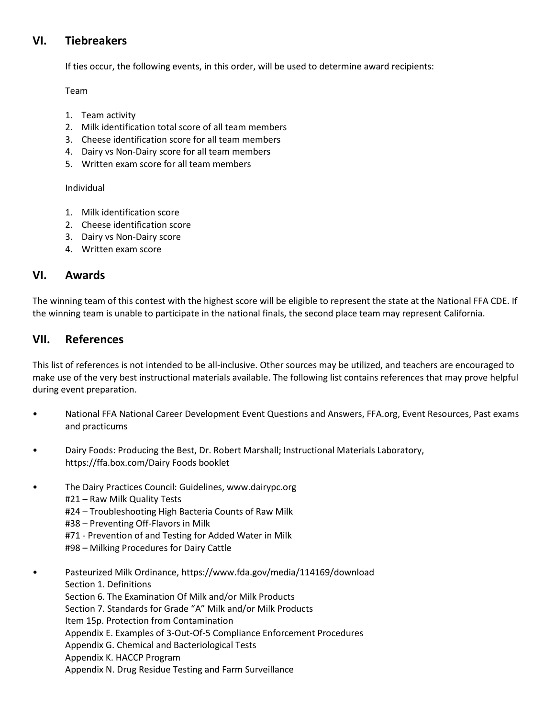# **VI. Tiebreakers**

If ties occur, the following events, in this order, will be used to determine award recipients:

Team

- 1. Team activity
- 2. Milk identification total score of all team members
- 3. Cheese identification score for all team members
- 4. Dairy vs Non-Dairy score for all team members
- 5. Written exam score for all team members

Individual

- 1. Milk identification score
- 2. Cheese identification score
- 3. Dairy vs Non-Dairy score
- 4. Written exam score

# **VI. Awards**

The winning team of this contest with the highest score will be eligible to represent the state at the National FFA CDE. If the winning team is unable to participate in the national finals, the second place team may represent California.

# **VII. References**

This list of references is not intended to be all-inclusive. Other sources may be utilized, and teachers are encouraged to make use of the very best instructional materials available. The following list contains references that may prove helpful during event preparation.

- National FFA National Career Development Event Questions and Answers, FFA.org, Event Resources, Past exams and practicums
- Dairy Foods: Producing the Best, Dr. Robert Marshall; Instructional Materials Laboratory, https://ffa.box.com/Dairy Foods booklet
- The Dairy Practices Council: Guidelines, www.dairypc.org #21 – Raw Milk Quality Tests #24 – Troubleshooting High Bacteria Counts of Raw Milk #38 – Preventing Off-Flavors in Milk #71 - Prevention of and Testing for Added Water in Milk #98 – Milking Procedures for Dairy Cattle

• Pasteurized Milk Ordinance, https://www.fda.gov/media/114169/download Section 1. Definitions Section 6. The Examination Of Milk and/or Milk Products Section 7. Standards for Grade "A" Milk and/or Milk Products Item 15p. Protection from Contamination Appendix E. Examples of 3-Out-Of-5 Compliance Enforcement Procedures Appendix G. Chemical and Bacteriological Tests Appendix K. HACCP Program Appendix N. Drug Residue Testing and Farm Surveillance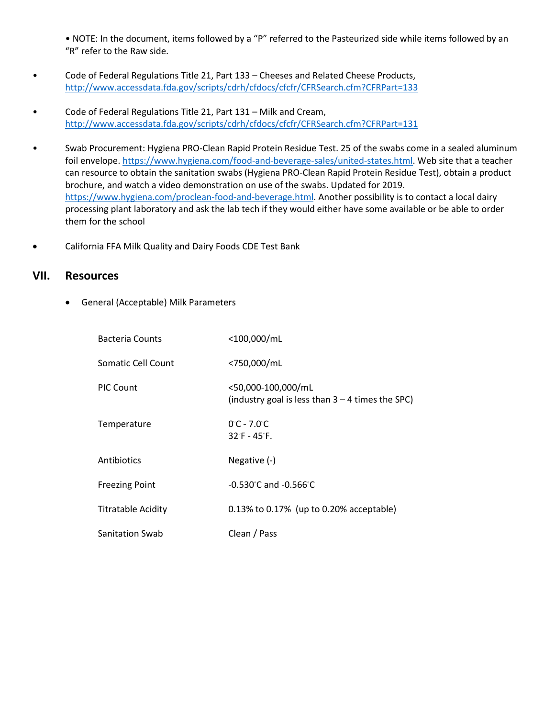• NOTE: In the document, items followed by a "P" referred to the Pasteurized side while items followed by an "R" refer to the Raw side.

- Code of Federal Regulations Title 21, Part 133 Cheeses and Related Cheese Products, <http://www.accessdata.fda.gov/scripts/cdrh/cfdocs/cfcfr/CFRSearch.cfm?CFRPart=133>
- Code of Federal Regulations Title 21, Part 131 Milk and Cream, <http://www.accessdata.fda.gov/scripts/cdrh/cfdocs/cfcfr/CFRSearch.cfm?CFRPart=131>
- Swab Procurement: Hygiena PRO-Clean Rapid Protein Residue Test. 25 of the swabs come in a sealed aluminum foil envelope. [https://www.hygiena.com/food-and-beverage-sales/united-states.html.](https://www.hygiena.com/food-and-beverage-sales/united-states.html) Web site that a teacher can resource to obtain the sanitation swabs (Hygiena PRO-Clean Rapid Protein Residue Test), obtain a product brochure, and watch a video demonstration on use of the swabs. Updated for 2019. [https://www.hygiena.com/proclean-food-and-beverage.html.](https://www.hygiena.com/pro%20clean-food-and-beverage.html) Another possibility is to contact a local dairy processing plant laboratory and ask the lab tech if they would either have some available or be able to order them for the school
- California FFA Milk Quality and Dairy Foods CDE Test Bank

## **VII. Resources**

• General (Acceptable) Milk Parameters

| <b>Bacteria Counts</b>    | <100,000/mL                                                              |
|---------------------------|--------------------------------------------------------------------------|
| Somatic Cell Count        | <750,000/mL                                                              |
| <b>PIC Count</b>          | <50,000-100,000/mL<br>(industry goal is less than $3 - 4$ times the SPC) |
| Temperature               | $0^{\circ}$ C - 7.0 $^{\circ}$ C<br>$32^{\circ}$ F - 45 $^{\circ}$ F.    |
| <b>Antibiotics</b>        | Negative (-)                                                             |
| <b>Freezing Point</b>     | $-0.530^{\circ}$ C and $-0.566^{\circ}$ C                                |
| <b>Titratable Acidity</b> | 0.13% to 0.17% (up to 0.20% acceptable)                                  |
| <b>Sanitation Swab</b>    | Clean / Pass                                                             |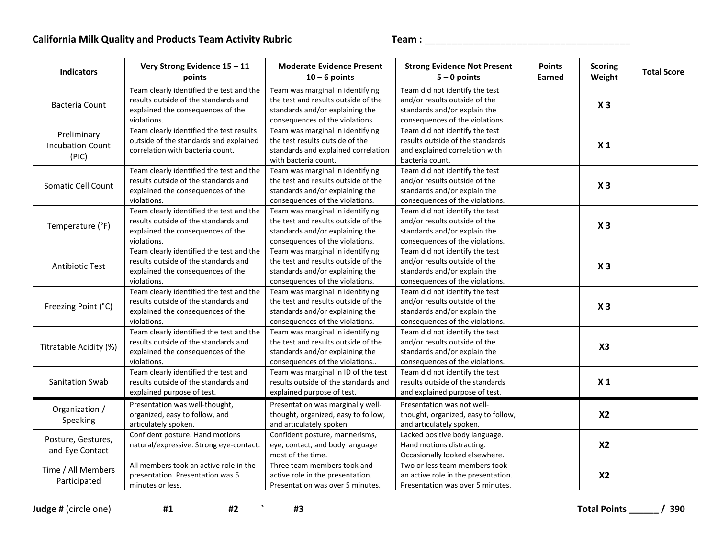| <b>Indicators</b>                               | Very Strong Evidence 15 - 11<br>points                                                                                               | <b>Moderate Evidence Present</b><br>$10 - 6$ points                                                                                           | <b>Strong Evidence Not Present</b><br>$5 - 0$ points                                                                               | <b>Points</b><br>Earned | <b>Scoring</b><br>Weight | <b>Total Score</b> |
|-------------------------------------------------|--------------------------------------------------------------------------------------------------------------------------------------|-----------------------------------------------------------------------------------------------------------------------------------------------|------------------------------------------------------------------------------------------------------------------------------------|-------------------------|--------------------------|--------------------|
| <b>Bacteria Count</b>                           | Team clearly identified the test and the<br>results outside of the standards and<br>explained the consequences of the<br>violations. | Team was marginal in identifying<br>the test and results outside of the<br>standards and/or explaining the<br>consequences of the violations. | Team did not identify the test<br>and/or results outside of the<br>standards and/or explain the<br>consequences of the violations. |                         | X <sub>3</sub>           |                    |
| Preliminary<br><b>Incubation Count</b><br>(PIC) | Team clearly identified the test results<br>outside of the standards and explained<br>correlation with bacteria count.               | Team was marginal in identifying<br>the test results outside of the<br>standards and explained correlation<br>with bacteria count.            | Team did not identify the test<br>results outside of the standards<br>and explained correlation with<br>bacteria count.            |                         | X <sub>1</sub>           |                    |
| Somatic Cell Count                              | Team clearly identified the test and the<br>results outside of the standards and<br>explained the consequences of the<br>violations. | Team was marginal in identifying<br>the test and results outside of the<br>standards and/or explaining the<br>consequences of the violations. | Team did not identify the test<br>and/or results outside of the<br>standards and/or explain the<br>consequences of the violations. |                         | X <sub>3</sub>           |                    |
| Temperature (°F)                                | Team clearly identified the test and the<br>results outside of the standards and<br>explained the consequences of the<br>violations. | Team was marginal in identifying<br>the test and results outside of the<br>standards and/or explaining the<br>consequences of the violations. | Team did not identify the test<br>and/or results outside of the<br>standards and/or explain the<br>consequences of the violations. |                         | X <sub>3</sub>           |                    |
| Antibiotic Test                                 | Team clearly identified the test and the<br>results outside of the standards and<br>explained the consequences of the<br>violations. | Team was marginal in identifying<br>the test and results outside of the<br>standards and/or explaining the<br>consequences of the violations. | Team did not identify the test<br>and/or results outside of the<br>standards and/or explain the<br>consequences of the violations. |                         | X <sub>3</sub>           |                    |
| Freezing Point (°C)                             | Team clearly identified the test and the<br>results outside of the standards and<br>explained the consequences of the<br>violations. | Team was marginal in identifying<br>the test and results outside of the<br>standards and/or explaining the<br>consequences of the violations. | Team did not identify the test<br>and/or results outside of the<br>standards and/or explain the<br>consequences of the violations. |                         | X <sub>3</sub>           |                    |
| Titratable Acidity (%)                          | Team clearly identified the test and the<br>results outside of the standards and<br>explained the consequences of the<br>violations. | Team was marginal in identifying<br>the test and results outside of the<br>standards and/or explaining the<br>consequences of the violations  | Team did not identify the test<br>and/or results outside of the<br>standards and/or explain the<br>consequences of the violations. |                         | X3                       |                    |
| Sanitation Swab                                 | Team clearly identified the test and<br>results outside of the standards and<br>explained purpose of test.                           | Team was marginal in ID of the test<br>results outside of the standards and<br>explained purpose of test.                                     | Team did not identify the test<br>results outside of the standards<br>and explained purpose of test.                               |                         | X <sub>1</sub>           |                    |
| Organization /<br>Speaking                      | Presentation was well-thought,<br>organized, easy to follow, and<br>articulately spoken.                                             | Presentation was marginally well-<br>thought, organized, easy to follow,<br>and articulately spoken.                                          | Presentation was not well-<br>thought, organized, easy to follow,<br>and articulately spoken.                                      |                         | <b>X2</b>                |                    |
| Posture, Gestures,<br>and Eye Contact           | Confident posture. Hand motions<br>natural/expressive. Strong eye-contact.                                                           | Confident posture, mannerisms,<br>eye, contact, and body language<br>most of the time.                                                        | Lacked positive body language.<br>Hand motions distracting.<br>Occasionally looked elsewhere.                                      |                         | <b>X2</b>                |                    |
| Time / All Members<br>Participated              | All members took an active role in the<br>presentation. Presentation was 5<br>minutes or less.                                       | Three team members took and<br>active role in the presentation.<br>Presentation was over 5 minutes.                                           | Two or less team members took<br>an active role in the presentation.<br>Presentation was over 5 minutes.                           |                         | X <sub>2</sub>           |                    |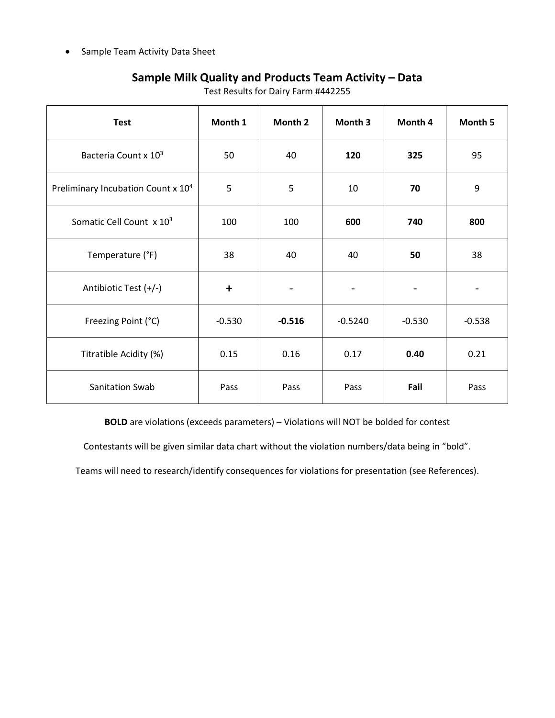• Sample Team Activity Data Sheet

# **Sample Milk Quality and Products Team Activity – Data**

| <b>Test</b>                                    | Month 1   | Month 2  | Month 3   | Month 4  | Month 5  |
|------------------------------------------------|-----------|----------|-----------|----------|----------|
| Bacteria Count x 10 <sup>3</sup>               | 50        | 40       | 120       | 325      | 95       |
| Preliminary Incubation Count x 10 <sup>4</sup> | 5         | 5        | 10        | 70       | 9        |
| Somatic Cell Count x 103                       | 100       | 100      | 600       | 740      | 800      |
| Temperature (°F)                               | 38        | 40       | 40        | 50       | 38       |
| Antibiotic Test (+/-)                          | $\ddot{}$ |          |           |          |          |
| Freezing Point (°C)                            | $-0.530$  | $-0.516$ | $-0.5240$ | $-0.530$ | $-0.538$ |
| Titratible Acidity (%)                         | 0.15      | 0.16     | 0.17      | 0.40     | 0.21     |
| Sanitation Swab                                | Pass      | Pass     | Pass      | Fail     | Pass     |

Test Results for Dairy Farm #442255

**BOLD** are violations (exceeds parameters) – Violations will NOT be bolded for contest

Contestants will be given similar data chart without the violation numbers/data being in "bold".

Teams will need to research/identify consequences for violations for presentation (see References).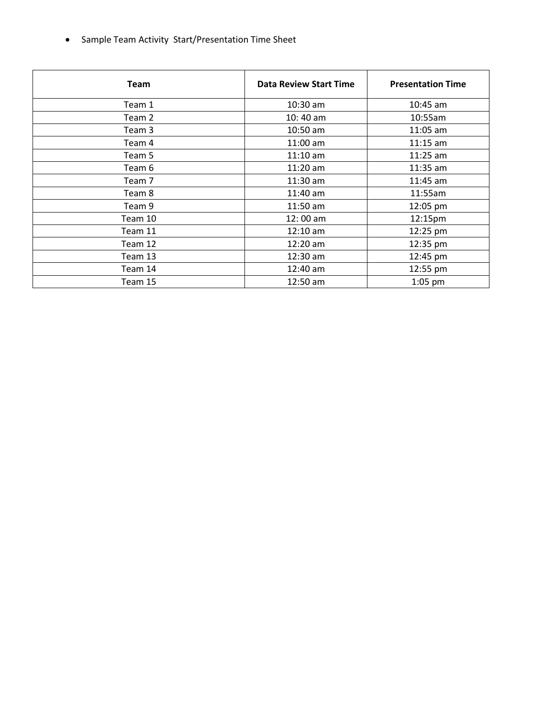• Sample Team Activity Start/Presentation Time Sheet

| <b>Team</b> | <b>Data Review Start Time</b> | <b>Presentation Time</b> |
|-------------|-------------------------------|--------------------------|
| Team 1      | 10:30 am                      | $10:45$ am               |
| Team 2      | $10:40$ am                    | 10:55am                  |
| Team 3      | 10:50 am                      | $11:05$ am               |
| Team 4      | $11:00$ am                    | $11:15$ am               |
| Team 5      | $11:10$ am                    | $11:25$ am               |
| Team 6      | $11:20$ am                    | $11:35$ am               |
| Team 7      | $11:30$ am                    | $11:45$ am               |
| Team 8      | $11:40$ am                    | 11:55am                  |
| Team 9      | $11:50$ am                    | 12:05 pm                 |
| Team 10     | 12:00 am                      | 12:15pm                  |
| Team 11     | $12:10$ am                    | 12:25 pm                 |
| Team 12     | $12:20$ am                    | 12:35 pm                 |
| Team 13     | $12:30$ am                    | 12:45 pm                 |
| Team 14     | 12:40 am                      | 12:55 pm                 |
| Team 15     | $12:50$ am                    | $1:05$ pm                |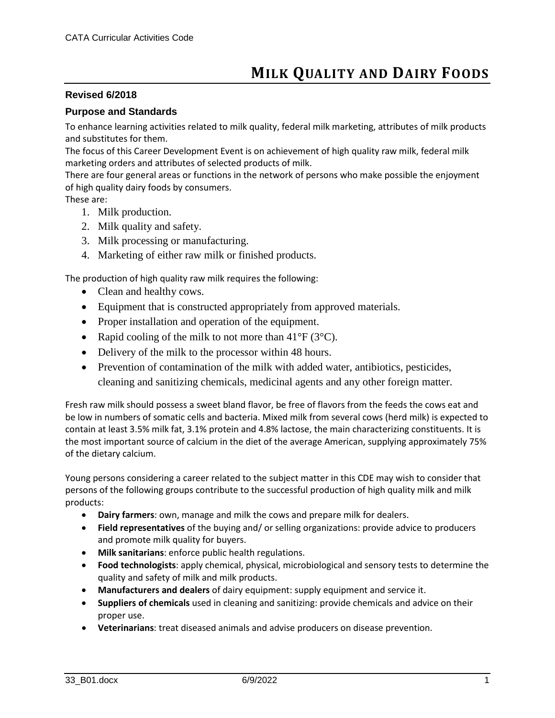## **Revised 6/2018**

## **Purpose and Standards**

To enhance learning activities related to milk quality, federal milk marketing, attributes of milk products and substitutes for them.

The focus of this Career Development Event is on achievement of high quality raw milk, federal milk marketing orders and attributes of selected products of milk.

There are four general areas or functions in the network of persons who make possible the enjoyment of high quality dairy foods by consumers.

These are:

- 1. Milk production.
- 2. Milk quality and safety.
- 3. Milk processing or manufacturing.
- 4. Marketing of either raw milk or finished products.

The production of high quality raw milk requires the following:

- Clean and healthy cows.
- Equipment that is constructed appropriately from approved materials.
- Proper installation and operation of the equipment.
- Rapid cooling of the milk to not more than  $41^{\circ}F(3^{\circ}C)$ .
- Delivery of the milk to the processor within 48 hours.
- Prevention of contamination of the milk with added water, antibiotics, pesticides, cleaning and sanitizing chemicals, medicinal agents and any other foreign matter.

Fresh raw milk should possess a sweet bland flavor, be free of flavors from the feeds the cows eat and be low in numbers of somatic cells and bacteria. Mixed milk from several cows (herd milk) is expected to contain at least 3.5% milk fat, 3.1% protein and 4.8% lactose, the main characterizing constituents. It is the most important source of calcium in the diet of the average American, supplying approximately 75% of the dietary calcium.

Young persons considering a career related to the subject matter in this CDE may wish to consider that persons of the following groups contribute to the successful production of high quality milk and milk products:

- **Dairy farmers**: own, manage and milk the cows and prepare milk for dealers.
- **Field representatives** of the buying and/ or selling organizations: provide advice to producers and promote milk quality for buyers.
- **Milk sanitarians**: enforce public health regulations.
- **Food technologists**: apply chemical, physical, microbiological and sensory tests to determine the quality and safety of milk and milk products.
- **Manufacturers and dealers** of dairy equipment: supply equipment and service it.
- **Suppliers of chemicals** used in cleaning and sanitizing: provide chemicals and advice on their proper use.
- **Veterinarians**: treat diseased animals and advise producers on disease prevention.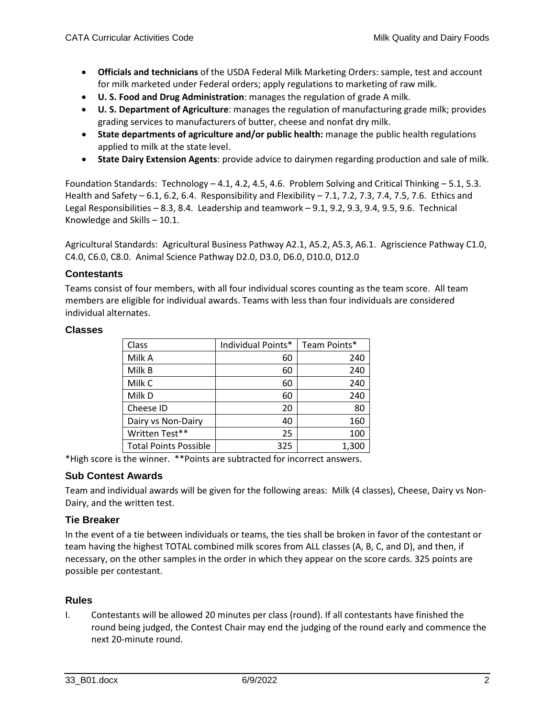- **Officials and technicians** of the USDA Federal Milk Marketing Orders: sample, test and account for milk marketed under Federal orders; apply regulations to marketing of raw milk.
- **U. S. Food and Drug Administration**: manages the regulation of grade A milk.
- **U. S. Department of Agriculture**: manages the regulation of manufacturing grade milk; provides grading services to manufacturers of butter, cheese and nonfat dry milk.
- **State departments of agriculture and/or public health:** manage the public health regulations applied to milk at the state level.
- **State Dairy Extension Agents**: provide advice to dairymen regarding production and sale of milk.

Foundation Standards: Technology – 4.1, 4.2, 4.5, 4.6. Problem Solving and Critical Thinking – 5.1, 5.3. Health and Safety – 6.1, 6.2, 6.4. Responsibility and Flexibility – 7.1, 7.2, 7.3, 7.4, 7.5, 7.6. Ethics and Legal Responsibilities – 8.3, 8.4. Leadership and teamwork – 9.1, 9.2, 9.3, 9.4, 9.5, 9.6. Technical Knowledge and Skills – 10.1.

Agricultural Standards: Agricultural Business Pathway A2.1, A5.2, A5.3, A6.1. Agriscience Pathway C1.0, C4.0, C6.0, C8.0. Animal Science Pathway D2.0, D3.0, D6.0, D10.0, D12.0

## **Contestants**

Teams consist of four members, with all four individual scores counting as the team score. All team members are eligible for individual awards. Teams with less than four individuals are considered individual alternates.

#### **Classes**

| Class                        | Individual Points* | Team Points* |
|------------------------------|--------------------|--------------|
| Milk A                       | 60                 | 240          |
| Milk B                       | 60                 | 240          |
| Milk C                       | 60                 | 240          |
| Milk D                       | 60                 | 240          |
| Cheese ID                    | 20                 | 80           |
| Dairy vs Non-Dairy           | 40                 | 160          |
| Written Test**               | 25                 | 100          |
| <b>Total Points Possible</b> | 325                | 1,300        |

\*High score is the winner. \*\*Points are subtracted for incorrect answers.

## **Sub Contest Awards**

Team and individual awards will be given for the following areas: Milk (4 classes), Cheese, Dairy vs Non-Dairy, and the written test.

## **Tie Breaker**

In the event of a tie between individuals or teams, the ties shall be broken in favor of the contestant or team having the highest TOTAL combined milk scores from ALL classes (A, B, C, and D), and then, if necessary, on the other samples in the order in which they appear on the score cards. 325 points are possible per contestant.

#### **Rules**

I. Contestants will be allowed 20 minutes per class (round). If all contestants have finished the round being judged, the Contest Chair may end the judging of the round early and commence the next 20-minute round.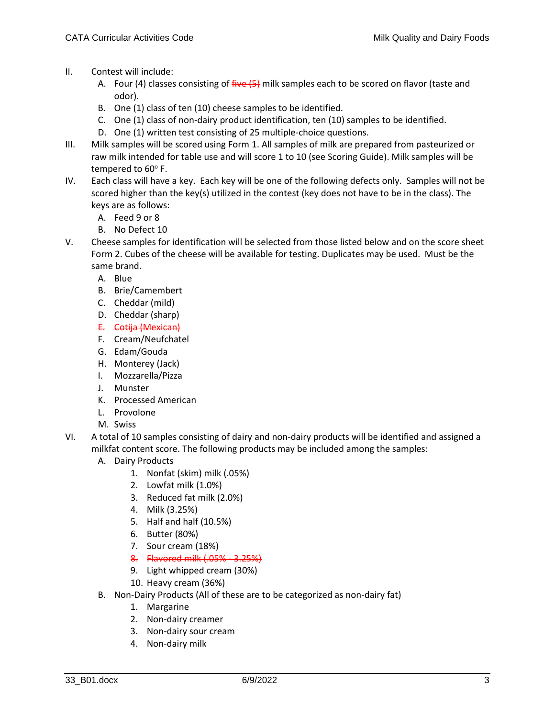- II. Contest will include:
	- A. Four (4) classes consisting of five (5) milk samples each to be scored on flavor (taste and odor).
	- B. One (1) class of ten (10) cheese samples to be identified.
	- C. One (1) class of non-dairy product identification, ten (10) samples to be identified.
	- D. One (1) written test consisting of 25 multiple-choice questions.
- III. Milk samples will be scored using Form 1. All samples of milk are prepared from pasteurized or raw milk intended for table use and will score 1 to 10 (see Scoring Guide). Milk samples will be tempered to 60°F.
- IV. Each class will have a key. Each key will be one of the following defects only. Samples will not be scored higher than the key(s) utilized in the contest (key does not have to be in the class). The keys are as follows:
	- A. Feed 9 or 8
	- B. No Defect 10
- V. Cheese samples for identification will be selected from those listed below and on the score sheet Form 2. Cubes of the cheese will be available for testing. Duplicates may be used. Must be the same brand.
	- A. Blue
	- B. Brie/Camembert
	- C. Cheddar (mild)
	- D. Cheddar (sharp)
	- E. Cotija (Mexican)
	- F. Cream/Neufchatel
	- G. Edam/Gouda
	- H. Monterey (Jack)
	- I. Mozzarella/Pizza
	- J. Munster
	- K. Processed American
	- L. Provolone
	- M. Swiss
- VI. A total of 10 samples consisting of dairy and non-dairy products will be identified and assigned a milkfat content score. The following products may be included among the samples:
	- A. Dairy Products
		- 1. Nonfat (skim) milk (.05%)
		- 2. Lowfat milk (1.0%)
		- 3. Reduced fat milk (2.0%)
		- 4. Milk (3.25%)
		- 5. Half and half (10.5%)
		- 6. Butter (80%)
		- 7. Sour cream (18%)
		- 8. Flavored milk (.05% 3.25%)
		- 9. Light whipped cream (30%)
		- 10. Heavy cream (36%)
	- B. Non-Dairy Products (All of these are to be categorized as non-dairy fat)
		- 1. Margarine
		- 2. Non-dairy creamer
		- 3. Non-dairy sour cream
		- 4. Non-dairy milk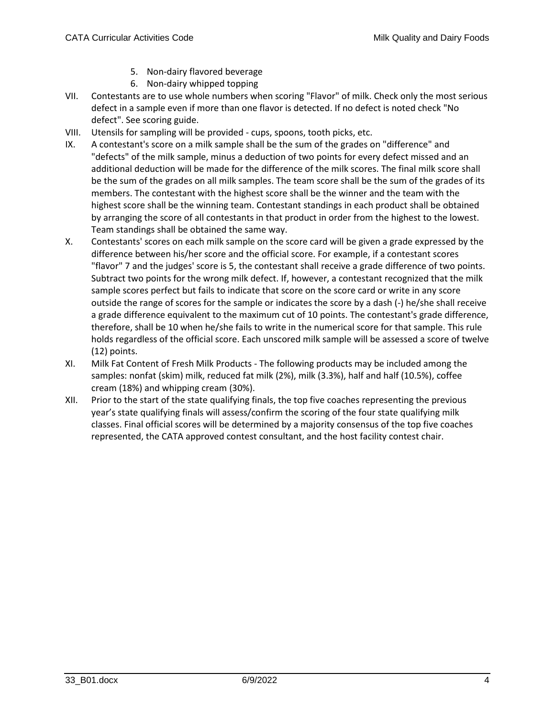- 5. Non-dairy flavored beverage
- 6. Non-dairy whipped topping
- VII. Contestants are to use whole numbers when scoring "Flavor" of milk. Check only the most serious defect in a sample even if more than one flavor is detected. If no defect is noted check "No defect". See scoring guide.
- VIII. Utensils for sampling will be provided cups, spoons, tooth picks, etc.
- IX. A contestant's score on a milk sample shall be the sum of the grades on "difference" and "defects" of the milk sample, minus a deduction of two points for every defect missed and an additional deduction will be made for the difference of the milk scores. The final milk score shall be the sum of the grades on all milk samples. The team score shall be the sum of the grades of its members. The contestant with the highest score shall be the winner and the team with the highest score shall be the winning team. Contestant standings in each product shall be obtained by arranging the score of all contestants in that product in order from the highest to the lowest. Team standings shall be obtained the same way.
- X. Contestants' scores on each milk sample on the score card will be given a grade expressed by the difference between his/her score and the official score. For example, if a contestant scores "flavor" 7 and the judges' score is 5, the contestant shall receive a grade difference of two points. Subtract two points for the wrong milk defect. If, however, a contestant recognized that the milk sample scores perfect but fails to indicate that score on the score card or write in any score outside the range of scores for the sample or indicates the score by a dash (-) he/she shall receive a grade difference equivalent to the maximum cut of 10 points. The contestant's grade difference, therefore, shall be 10 when he/she fails to write in the numerical score for that sample. This rule holds regardless of the official score. Each unscored milk sample will be assessed a score of twelve (12) points.
- XI. Milk Fat Content of Fresh Milk Products The following products may be included among the samples: nonfat (skim) milk, reduced fat milk (2%), milk (3.3%), half and half (10.5%), coffee cream (18%) and whipping cream (30%).
- XII. Prior to the start of the state qualifying finals, the top five coaches representing the previous year's state qualifying finals will assess/confirm the scoring of the four state qualifying milk classes. Final official scores will be determined by a majority consensus of the top five coaches represented, the CATA approved contest consultant, and the host facility contest chair.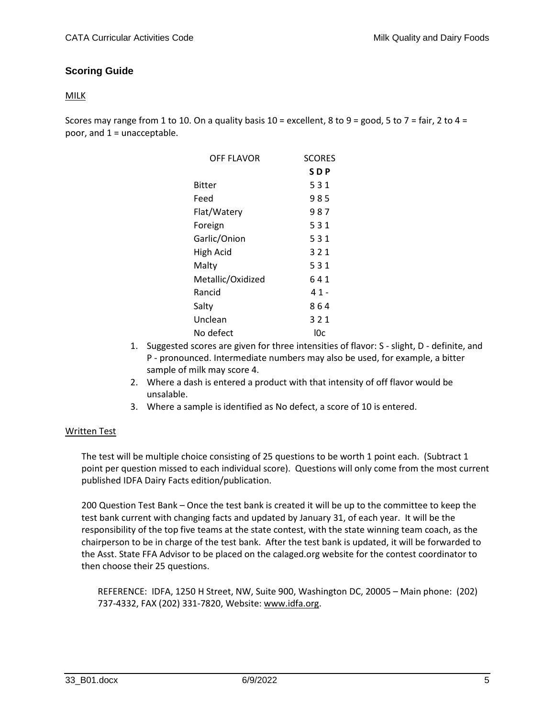# **Scoring Guide**

## MILK

Scores may range from 1 to 10. On a quality basis  $10 =$  excellent, 8 to 9 = good, 5 to 7 = fair, 2 to 4 = poor, and 1 = unacceptable.

| OFF FLAVOR        | <b>SCORES</b> |
|-------------------|---------------|
|                   | SDP           |
| Bitter            | 531           |
| Feed              | 985           |
| Flat/Watery       | 987           |
| Foreign           | 531           |
| Garlic/Onion      | 531           |
| High Acid         | 321           |
| Malty             | 531           |
| Metallic/Oxidized | 641           |
| Rancid            | 41-           |
| Salty             | 864           |
| Unclean           | 321           |
| No defect         | l0c           |

- 1. Suggested scores are given for three intensities of flavor: S slight, D definite, and P - pronounced. Intermediate numbers may also be used, for example, a bitter sample of milk may score 4.
- 2. Where a dash is entered a product with that intensity of off flavor would be unsalable.
- 3. Where a sample is identified as No defect, a score of 10 is entered.

## Written Test

The test will be multiple choice consisting of 25 questions to be worth 1 point each. (Subtract 1 point per question missed to each individual score). Questions will only come from the most current published IDFA Dairy Facts edition/publication.

200 Question Test Bank – Once the test bank is created it will be up to the committee to keep the test bank current with changing facts and updated by January 31, of each year. It will be the responsibility of the top five teams at the state contest, with the state winning team coach, as the chairperson to be in charge of the test bank. After the test bank is updated, it will be forwarded to the Asst. State FFA Advisor to be placed on the calaged.org website for the contest coordinator to then choose their 25 questions.

REFERENCE: IDFA, 1250 H Street, NW, Suite 900, Washington DC, 20005 – Main phone: (202) 737-4332, FAX (202) 331-7820, Website: [www.idfa.org.](http://www.idfa.org/)